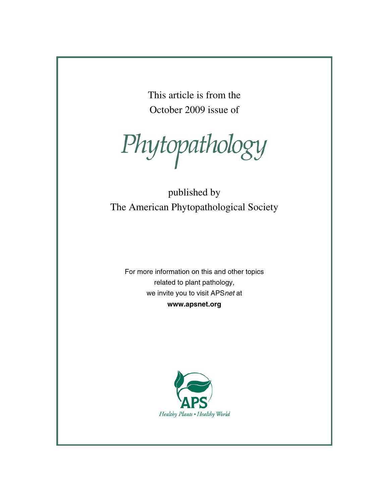This article is from the October 2009 issue of

Phytopathology

published by The American Phytopathological Society

For more information on this and other topics related to plant pathology, we invite you to visit APS*net* at **[www.apsnet.org](http://www.apsnet.org)**

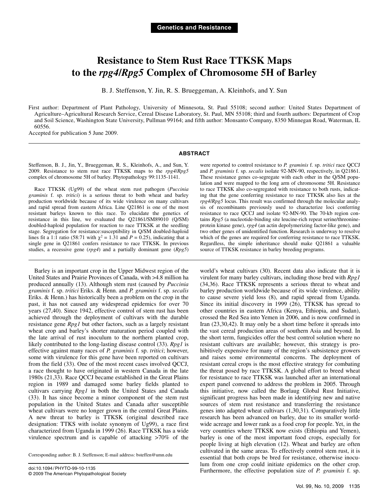# **Resistance to Stem Rust Race TTKSK Maps to the** *rpg4***/***Rpg5* **Complex of Chromosome 5H of Barley**

B. J. Steffenson, Y. Jin, R. S. Brueggeman, A. Kleinhofs, and Y. Sun

First author: Department of Plant Pathology, University of Minnesota, St. Paul 55108; second author: United States Department of Agriculture–Agricultural Research Service, Cereal Disease Laboratory, St. Paul, MN 55108; third and fourth authors: Department of Crop and Soil Science, Washington State University, Pullman 99164; and fifth author: Monsanto Company, 8350 Minnegan Road, Waterman, IL 60556.

Accepted for publication 5 June 2009.

### **ABSTRACT**

Steffenson, B. J., Jin, Y., Brueggeman, R. S., Kleinhofs, A., and Sun, Y. 2009. Resistance to stem rust race TTKSK maps to the *rpg4*/*Rpg5* complex of chromosome 5H of barley. Phytopathology 99:1135-1141.

Race TTKSK (Ug99) of the wheat stem rust pathogen (*Puccinia graminis* f. sp. *tritici*) is a serious threat to both wheat and barley production worldwide because of its wide virulence on many cultivars and rapid spread from eastern Africa. Line Q21861 is one of the most resistant barleys known to this race. To elucidate the genetics of resistance in this line, we evaluated the Q21861/SM89010 (Q/SM) doubled-haploid population for reaction to race TTKSK at the seedling stage. Segregation for resistance:susceptibility in Q/SM doubled-haploid lines fit a 1:1 ratio (58:71 with  $\chi^2 = 1.31$  and  $P = 0.25$ ), indicating that a single gene in Q21861 confers resistance to race TTKSK. In previous studies, a recessive gene (*rpg4*) and a partially dominant gene (*Rpg5*)

Barley is an important crop in the Upper Midwest region of the United States and Prairie Provinces of Canada, with >4.8 million ha produced annually (13). Although stem rust (caused by *Puccinia graminis* f. sp. *tritici* Eriks. & Henn. and *P. graminis* f. sp. *secalis* Eriks. & Henn.) has historically been a problem on the crop in the past, it has not caused any widespread epidemics for over 70 years (27,40). Since 1942, effective control of stem rust has been achieved through the deployment of cultivars with the durable resistance gene *Rpg1* but other factors, such as a largely resistant wheat crop and barley's shorter maturation period coupled with the late arrival of rust inoculum to the northern planted crop, likely contributed to the long-lasting disease control (33). *Rpg1* is effective against many races of *P. graminis* f. sp. *tritici*; however, some with virulence for this gene have been reported on cultivars from the field (33). One of the most recent cases involved QCCJ, a race thought to have originated in western Canada in the late 1980s (21,33). Race QCCJ became established in the Great Plains region in 1989 and damaged some barley fields planted to cultivars carrying *Rpg1* in both the United States and Canada (33). It has since become a minor component of the stem rust population in the United States and Canada after susceptible wheat cultivars were no longer grown in the central Great Plains. A new threat to barley is TTKSK (original described race designation: TTKS with isolate synonym of Ug99), a race first characterized from Uganda in 1999 (26). Race TTKSK has a wide virulence spectrum and is capable of attacking >70% of the

Corresponding author: B. J. Steffenson; E-mail address: bsteffen@umn.edu

were reported to control resistance to *P. graminis* f. sp. *tritici* race QCCJ and *P. graminis* f. sp. *secalis* isolate 92-MN-90, respectively, in Q21861. These resistance genes co-segregate with each other in the Q/SM population and were mapped to the long arm of chromosome 5H. Resistance to race TTKSK also co-segregated with resistance to both rusts, indicating that the gene conferring resistance to race TTKSK also lies at the *rpg4*/*Rpg5* locus. This result was confirmed through the molecular analysis of recombinants previously used to characterize loci conferring resistance to race QCCJ and isolate 92-MN-90. The 70-kb region contains *Rpg5* (a nucleotide-binding site leucine-rich repeat serine/threonineprotein kinase gene), *rpg4* (an actin depolymerizing factor-like gene), and two other genes of unidentified function. Research is underway to resolve which of the genes are required for conferring resistance to race TTKSK. Regardless, the simple inheritance should make Q21861 a valuable source of TTKSK resistance in barley breeding programs.

world's wheat cultivars (30). Recent data also indicate that it is virulent for many barley cultivars, including those bred with *Rpg1* (34,36). Race TTKSK represents a serious threat to wheat and barley production worldwide because of its wide virulence, ability to cause severe yield loss (8), and rapid spread from Uganda. Since its initial discovery in 1999 (26), TTKSK has spread to other countries in eastern Africa (Kenya, Ethiopia, and Sudan), crossed the Red Sea into Yemen in 2006, and is now confirmed in Iran (23,30,42). It may only be a short time before it spreads into the vast cereal production areas of southern Asia and beyond. In the short term, fungicides offer the best control solution where no resistant cultivars are available; however, this strategy is prohibitively expensive for many of the region's subsistence growers and raises some environmental concerns. The deployment of resistant cereal crops is the most effective strategy for combating the threat posed by race TTKSK. A global effort to breed wheat for resistance to race TTKSK was launched after an international expert panel convened to address the problem in 2005. Through this initiative, now called the Borlaug Global Rust Initiative, significant progress has been made in identifying new and native sources of stem rust resistance and transferring the resistance genes into adapted wheat cultivars (1,30,31). Comparatively little research has been advanced on barley, due to its smaller worldwide acreage and lower rank as a food crop for people. Yet, in the very countries where TTKSK now exists (Ethiopia and Yemen), barley is one of the most important food crops, especially for people living at high elevation (12). Wheat and barley are often cultivated in the same areas. To effectively control stem rust, it is essential that both crops be bred for resistance, otherwise inoculum from one crop could initiate epidemics on the other crop. Furthermore, the effective population size of *P. graminis* f. sp.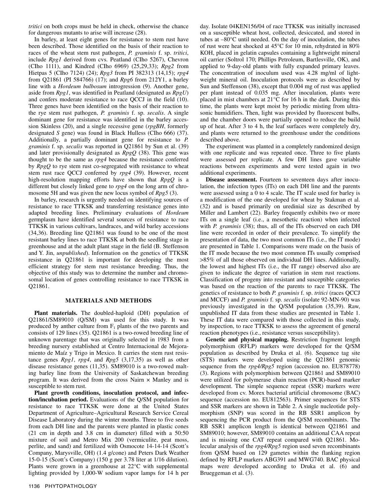*tritici* on both crops must be held in check, otherwise the chance for dangerous mutants to arise will increase (28).

In barley, at least eight genes for resistance to stem rust have been described. Those identified on the basis of their reaction to races of the wheat stem rust pathogen, *P. graminis* f. sp. *tritici*, include *Rpg1* derived from cvs. Peatland (CIho 5267), Chevron (CIho 1111), and Kindred (CIho 6969) (25,29,33); *Rpg2* from Hietpas 5 (CIho 7124) (24); *Rpg3* from PI 382313 (14,15); *rpg4* from Q21861 (PI 584766) (17); and *Rpg6* from 212Y1, a barley line with a *Hordeum bulbosum* introgression (9). Another gene, aside from *Rpg1*, was identified in Peatland (designated as *RpgU*) and confers moderate resistance to race QCCJ in the field (10). Three genes have been identified on the basis of their reaction to the rye stem rust pathogen, *P. graminis* f. sp. *secalis*. A single dominant gene for resistance was identified in the barley accession Skinless (20), and a single recessive gene (*rpgBH*, formerly designated *S* gene) was found in Black Hulless (CIho 666) (37). Additionally, a partially dominant gene for resistance to *P. graminis* f. sp. *secalis* was reported in Q21861 by Sun et al. (39) and later provisionally designated as *RpgQ* (38). This gene was thought to be the same as *rpg4* because the resistance conferred by *RpgQ* to rye stem rust co-segregated with resistance to wheat stem rust race QCCJ conferred by *rpg4* (39). However, recent high-resolution mapping efforts have shown that *RpgQ* is a different but closely linked gene to *rpg4* on the long arm of chromosome 5H and was given the new locus symbol of *Rpg5* (3).

In barley, research is urgently needed on identifying sources of resistance to race TTKSK and transferring resistance genes into adapted breeding lines. Preliminary evaluations of *Hordeum* germplasm have identified several sources of resistance to race TTKSK in various cultivars, landraces, and wild barley accessions (34,36). Breeding line Q21861 was found to be one of the most resistant barley lines to race TTKSK at both the seedling stage in greenhouse and at the adult plant stage in the field (B. Steffenson and Y. Jin, *unpublished*). Information on the genetics of TTKSK resistance in Q21861 is important for developing the most efficient strategy for stem rust resistance breeding. Thus, the objective of this study was to determine the number and chromosomal location of genes controlling resistance to race TTKSK in Q21861.

## **MATERIALS AND METHODS**

**Plant materials.** The doubled-haploid (DH) population of Q21861/SM89010 (Q/SM) was used for this study. It was produced by anther culture from  $F_1$  plants of the two parents and consists of 129 lines (35). Q21861 is a two-rowed breeding line of unknown parentage that was originally selected in 1983 from a breeding nursery established at Centro Internacional de Mejoramiento de Maíz y Trigo in Mexico. It carries the stem rust resistance genes *Rpg1*, *rpg4*, and *Rpg5* (3,17,35) as well as other disease resistance genes (11,35). SM89010 is a two-rowed malting barley line from the University of Saskatchewan breeding program. It was derived from the cross Nairn  $\times$  Manley and is susceptible to stem rust.

**Plant growth conditions, inoculation protocol, and infection/incubation period.** Evaluations of the Q/SM population for resistance to race TTKSK were done at the United States Department of Agriculture–Agricultural Research Service Cereal Disease Laboratory during the winter months. Three to five seeds from each DH line and the parents were planted in plastic cones (21 cm in depth and 3.8 cm in diameter) filled with a 50:50 mixture of soil and Metro Mix 200 (vermiculite, peat moss, perlite, and sand) and fertilized with Osmocote 14-14-14 (Scott's Company, Marysville, OH) (1.4 g/cone) and Peters Dark Weather 15-0-15 (Scott's Company) (150 g per 3.78 liter at 1/16 dilution). Plants were grown in a greenhouse at 22°C with supplemental lighting provided by 1,000-W sodium vapor lamps for 14 h per

day. Isolate 04KEN156/04 of race TTKSK was initially increased on a susceptible wheat host, collected, desiccated, and stored in tubes at –80°C until needed. On the day of inoculation, the tubes of rust were heat shocked at 45°C for 10 min, rehydrated in 80% KOH, placed in gelatin capsules containing a lightweight mineral oil carrier (Soltrol 170; Phillips Petroleum, Bartlesville, OK), and applied to 9-day-old plants with fully expanded primary leaves. The concentration of inoculum used was 4.28 mg/ml of lightweight mineral oil. Inoculation protocols were as described by Sun and Steffenson (38), except that 0.004 mg of rust was applied per plant instead of 0.035 mg. After inoculation, plants were placed in mist chambers at 21°C for 16 h in the dark. During this time, the plants were kept moist by periodic misting from ultrasonic humidifiers. Then, light was provided by fluorescent bulbs, and the chamber doors were partially opened to reduce the build up of heat. After 3 to 4 h, the leaf surfaces were completely dry, and plants were returned to the greenhouse under the conditions described above.

The experiment was planted in a completely randomized design with one replicate and was repeated once. Three to five plants were assessed per replicate. A few DH lines gave variable reactions between experiments and were tested again in two additional experiments.

**Disease assessment.** Fourteen to seventeen days after inoculation, the infection types (ITs) on each DH line and the parents were assessed using a 0 to 4 scale. The IT scale used for barley is a modification of the one developed for wheat by Stakman et al. (32) and is based primarily on uredinial size as described by Miller and Lambert (22). Barley frequently exhibits two or more ITs on a single leaf (i.e., a mesothetic reaction) when infected with *P. graminis* (38); thus, all of the ITs observed on each DH line were recorded in order of their prevalence. To simplify the presentation of data, the two most common ITs (i.e., the IT mode) are presented in Table 1. Comparisons were made on the basis of the IT mode because the two most common ITs usually comprised >85% of all those observed on individual DH lines. Additionally, the lowest and highest ITs (i.e., the IT range) observed also are given to indicate the degree of variation in stem rust reactions. Classification of progeny into resistant and susceptible categories was based on the reaction of the parents to race TTKSK. The genetics of resistance to both *P. graminis* f. sp. *tritici* (races QCCJ and MCCF) and *P. graminis* f. sp. *secalis* (isolate 92-MN-90) was previously investigated in the Q/SM population (35,39). Raw, unpublished IT data from these studies are presented in Table 1. These IT data were compared with those collected in this study, by inspection, to race TTKSK to assess the agreement of general reaction phenotypes (i.e., resistance versus susceptibility).

**Genetic and physical mapping.** Restriction fragment length polymorphism (RFLP) markers were developed for the Q/SM population as described by Druka et al. (6). Sequence tag site (STS) markers were developed using the Q21861 genomic sequence from the *rpg4/Rpg5* region (accession no. EU878778) (3). Regions with polymorphism between Q21861 and SM89010 were utilized for polymerase chain reaction (PCR)-based marker development. The simple sequence repeat (SSR) markers were developed from cv. Morex bacterial artificial chromosome (BAC) sequence (accession no. EU812563). Primer sequences for STS and SSR markers are shown in Table 2. A single nucleotide polymorphism (SNP) was scored in the RB SSR1 amplicon by sequencing the PCR product from the Q/SM recombinants. The RB SSR1 amplicon length is identical between Q21861 and SM89010; however, SM89010 contains an additional CAA repeat and is missing one CAT repeat compared with Q21861. Molecular analysis of the *rpg4/Rpg5* region used seven recombinants from Q/SM based on 129 gametes within the flanking region defined by RFLP markers ABG391 and MWG740. BAC physical maps were developed according to Druka et al. (6) and Brueggeman et al. (3).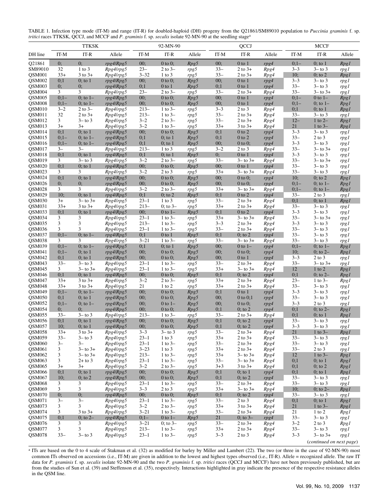| TABLE 1. Infection type mode (IT-M) and range (IT-R) for doubled-haploid (DH) progeny from the Q21861/SM89010 population to Puccinia graminis f. sp. |  |
|------------------------------------------------------------------------------------------------------------------------------------------------------|--|
| <i>tritici</i> races TTKSK, QCCJ, and MCCF and <i>P. graminis</i> f. sp. <i>secalis</i> isolate 92-MN-90 at the seedling stage <sup>a</sup>          |  |

|                    |               | <b>TTKSK</b>               |                        |                      | 92-MN-90                    |              |                  | QCCJ                         |              |                   | <b>MCCF</b>                  |              |
|--------------------|---------------|----------------------------|------------------------|----------------------|-----------------------------|--------------|------------------|------------------------------|--------------|-------------------|------------------------------|--------------|
| DH line            | IT-M          | IT-R                       | Allele                 | IT-M                 | $IT-R$                      | Allele       | IT-M             | $IT-R$                       | Allele       | IT-M              | $IT-R$                       | Allele       |
| O21861             | 0;            | 0:                         | rpg4/Rpg5              | 00;                  | $0$ to $0$ ;                | Rpg5         | 00;              | $0$ to $1\,$                 | rpg4         | $0:1-$            | $0;$ to $1$                  | Rpg1         |
| SM89010            | 32            | $1$ to $3$                 | Rpg4/rpg5              | $23 -$               | $2$ to $3-$                 | rpg5         | $33 -$           | $2$ to $3+$                  | Rpg4         | $3 - 3$           | $3 -$ to 3                   | rpg1         |
| QSM001             | $33+$         | $3$ to $3+$                | Rpg4/rpg5              | $3 - 32$             | $1$ to $3$                  | rpg5         | $33 -$           | $2$ to $3+$                  | Rpg4         | 10;               | $0$ ; to $2$                 | Rpg1         |
| OSM002             | 0;1<br>$0$ :  | $0$ ; to 1<br>0:           | rpg4/Rpg5              | 00;                  | $0$ to $0$ ;                | Rpg5         | 00;              | $0$ to $1$                   | rpg4         | $3 - 3$<br>$33 -$ | $3 -$ to 3<br>$3 -$ to 3     | rpg1         |
| QSM003<br>QSM004   | 3             | 3                          | rpg4/Rpg5<br>Rpg4/rpg5 | 0;1<br>$23 -$        | $0$ to $1$<br>$2$ to $3-$   | Rpg5<br>rpg5 | 0;1<br>$33 -$    | $0$ to $1$<br>$2$ to $3+$    | rpg4<br>Rpg4 | $33 -$            | $3 -$ to $3 +$               | rpg1<br>rpg1 |
| QSM005             | $0;1-$        | 0; to $1-$                 | rpg4/Rpg5              | 00;                  | $0$ to $0$ ;                | Rpg5         | 00;              | $0$ to $1$                   | rpg4         | $0;1-$            | $0$ to $1-$                  | Rpg1         |
| QSM008             | $0:1-$        | 0; to $1-$                 | rpg4/Rpg5              | 00;                  | $0$ to $0$ ;                | Rpg5         | 00;              | $0$ to $1$                   | rpg4         | $0;1-$            | 0; to $1-$                   | Rpg1         |
| QSM010             | $3 - 2$       | $2$ to $3-$                | Rpg4/rpg5              | $213-$               | $1$ to $3-$                 | rpg5         | $3 - 3$          | $2$ to $3$                   | Rpg4         | 0:1               | $0$ ; to $1$                 | Rpg1         |
| QSM011             | 32            | $2$ to $3+$                | Rpg4/rpg5              | $213-$               | 1 to $3-$                   | rpg5         | $33 -$           | $2$ to $3+$                  | Rpg4         | $33 -$            | $3 -$ to 3                   | rpg1         |
| QSM012             | 3<br>$3+$     | $3 -$ to 3<br>$3+$         | Rpg4/rpg5              | $3 - 2$<br>$3 - 2$   | $2$ to $3-$<br>1 to $3-$    | rpg5         | $33 -$<br>$33+$  | $2$ to $3+$                  | Rpg4         | $12 -$<br>21      | 1 to $2-$                    | Rpg1         |
| QSM013<br>QSM014   | 0;1           | $0;$ to 1                  | Rpg4/rpg5<br>rpg4/Rpg5 | 00;                  | $0$ to $0$ ;                | rpg5<br>Rpg5 | 0;1              | $3$ to $3+$<br>$0$ to $2$    | Rpg4<br>rpg4 | $3 - 3$           | $1$ to $3-$<br>$3 -$ to 3    | Rpg1<br>rpg1 |
| QSM015             | $0:1-$        | 0; to $1-$                 | rpg4/Rpg5              | 0;1                  | $0$ ; to 1                  | Rpg5         | 0;1              | $0$ to $2$                   | rpg4         | $33-$             | $2$ to $3$                   | rpg1         |
| QSM016             | $0:1-$        | 0; to $1-$                 | rpg4/Rpg5              | 0;1                  | $0;$ to 1                   | Rpg5         | 00;              | $0$ to $0$ ;                 | rpg4         | $3 - 3$           | $3 -$ to 3                   | rpg1         |
| QSM017             | $3-$          | $3-$                       | Rpg4/rpg5              | $213-$               | $1$ to $3$                  | rpg5         | $3 - 2$          | $2$ to $3$                   | Rpg4         | $33-$             | $3 -$ to $3 +$               | rpg1         |
| QSM018             | 0:1           | $0$ ; to $1$               | rpg4/Rpg5              | 0;1                  | $0;$ to 1                   | Rpg5         | 0;               | $0$ to $1$                   | rpg4         | $3 - 3$           | $3 -$ to 3                   | rpg1         |
| QSM019             | 3             | $3 -$ to 3                 | Rpg4/rpg5              | $3 - 2$              | $2$ to $3-$                 | rpg5         | $33 -$           | $3 -$ to $3 +$               | Rpg4         | $33 -$            | $3 -$ to $3 +$               | rpg1         |
| QSM020<br>QSM023   | 0;1<br>3      | $0$ ; to 1<br>3            | rpg4/Rpg5              | 00;<br>$3 - 2$       | $0$ to $0$ ;<br>$2$ to $3$  | Rpg5         | 00;<br>$33+$     | $0$ to $1$<br>$3 -$ to $3 +$ | rpg4         | $33-$<br>$33 -$   | $3 -$ to 3<br>$3 -$ to 3     | rpg1         |
| QSM024             | 0:1           | $0$ ; to $1$               | Rpg4/rpg5<br>rpg4/Rpg5 | 00;                  | $0$ to $0$ ;                | rpg5<br>Rpg5 | 00;              | $0$ to $0$ ;                 | Rpg4<br>rpg4 | 10;               | $0;$ to $2$                  | rpg1<br>Rpg1 |
| QSM026             | 0:            | 0:                         | rpg4/Rpg5              | 00;                  | $0$ to $0$ ;                | Rpg5         | 00;              | $0$ to $0$ ;                 | rpg4         | $0;1-$            | 0; to $1-$                   | Rpg1         |
| QSM028             | 3             | 3                          | Rpg4/rpg5              | $3 - 2$              | $2$ to $3-$                 | rpg5         | $33+$            | $3 -$ to $3 +$               | Rpg4         | $0;1-$            | 0; to $1-$                   | Rpg1         |
| QSM029             | 10;           | $0$ ; to 1                 | rpg4/Rpg5              | 0;1                  | $0$ ; to $2$                | Rpg5         | 0;1              | $0$ to $2$                   | rpg4         | $33 -$            | $2$ to $3$                   | rpg1         |
| QSM030             | $3+$          | $3 -$ to $3 +$             | Rpg4/rpg5              | $23 - 1$             | $1$ to $3$                  | rpg5         | $33 -$           | $2$ to $3+$                  | Rpg4         | 0:1               | $0$ ; to $1$                 | Rpg1         |
| QSM031             | $33+$         | $3$ to $3+$                | Rpg4/rpg5              | $213-$               | 0; to $3-$                  | rpg5         | $33+$            | $2$ to $3+$                  | Rpg4         | $33 -$            | $3-$ to 3                    | rpg1         |
| OSM033<br>OSM034   | 0:1           | $0$ : to 1                 | rpg4/Rpg5              | 00;                  | $0$ to $1-$                 | Rpg5         | 0;1              | $0$ to $2$<br>$3 -$ to $3 +$ | rpg4         | $3 - 3$           | $3 -$ to 3                   | rpg1         |
| QSM035             | 3<br>3        | 3<br>3                     | Rpg4/rpg5<br>Rpg4/rpg5 | $23 - 1$<br>$213-$   | $1$ to $3-$<br>1 to $3-$    | rpg5<br>rpg5 | $33+$<br>$3 - 3$ | $2$ to $3+$                  | Rpg4<br>Rpg4 | $33-$<br>$3 - 3$  | $3 -$ to $3 +$<br>$3 -$ to 3 | rpg1<br>rpg1 |
| QSM036             | 3             | 3                          | Rpg4/rpg5              | $23 - 1$             | $1$ to $3-$                 | rpg5         | $33 -$           | $2$ to $3+$                  | Rpg4         | $33 -$            | $3-$ to 3                    | rpg1         |
| QSM037             | $0:1-$        | 0; to $1-$                 | rpg4/Rpg5              | 0;1                  | $0$ to $1$                  | Rpg5         | 0;1              | $0;$ to $2$                  | rpg4         | $33 -$            | $3 -$ to 3                   | rpg1         |
| QSM038             | 3             | 3                          | Rpg4/rpg5              | $3 - 21$             | $1$ to $3-$                 | rpg5         | $33 -$           | $3 -$ to $3 +$               | Rpg4         | $33 -$            | $3-$ to 3                    | rpg1         |
| QSM039             | $0:1-$        | 0; to $1-$                 | rpg4/Rpg5              | 0;1                  | $0;$ to 1                   | Rpg5         | 00;              | $0$ to $1-$                  | rpg4         | $0;1-$            | 0; to $1-$                   | Rpg1         |
| QSM041             | $0:1-$        | $0;$ to 1                  | rpg4/Rpg5              | 00;                  | $0$ to $0$ ;                | Rpg5         | 00;              | $0$ to $0$ ;                 | rpg4         | 10;               | 0; to $2-$                   | Rpg1         |
| QSM042<br>QSM043   | 0;1<br>$33 -$ | $0$ ; to $1$<br>$3 -$ to 3 | rpg4/Rpg5<br>Rpg4/rpg5 | 00;<br>$23 - 1$      | $0$ to $0$ ;<br>$1$ to $3-$ | Rpg5         | 00;<br>$33 -$    | $0$ to $1$<br>$2$ to $3+$    | rpg4<br>Rpg4 | $3 - 3$<br>$33 -$ | $2$ to $3$<br>$3 -$ to $3 +$ | rpg1<br>rpg1 |
| QSM045             | 3             | $3 -$ to $3 +$             | Rpg4/rpg5              | $23 - 1$             | $1$ to $3-$                 | rpg5<br>rpg5 | $33+$            | $3 -$ to $3 +$               | Rpg4         | 12                | $1$ to $2$                   | Rpg1         |
| QSM046             | 0;1           | $0;$ to 1                  | rpg4/Rpg5              | 00;                  | $0$ to $0$ ;                | Rpg5         | 0;1              | $0$ ; to $2$                 | rpg4         | 0:1               | 0; to $2-$                   | Rpg1         |
| QSM047             | $33+$         | $3$ to $3+$                | Rpg4/rpg5              | $3 - 2$              | $2$ to $3-$                 | rpg5         | $33+$            | $2$ to $3+$                  | Rpg4         | $23 -$            | $1$ to $3-$                  | Rpg1         |
| QSM048             | $33+$         | $3$ to $3+$                | Rpg4/rpg5              | 21                   | $1$ to $2$                  | rpg5         | $33+$            | $2$ to $3+$                  | Rpg4         | $33 -$            | $3-$ to 3                    | rpg1         |
| QSM049             | $0:1-$        | 0; to $1-$                 | rpg4/Rpg5              | 00;                  | $0$ to $0$ ;                | Rpg5         | 0;1              | $0$ to $1$                   | rpg4         | $3 - 3$           | $3 -$ to 3                   | rpg1         |
| QSM050<br>QSM052   | 0;1<br>$0:1-$ | $0;$ to 1<br>0; to $1-$    | rpg4/Rpg5<br>rpg4/Rpg5 | 00;<br>00;           | $0$ to $0$ ;<br>$0$ to $1-$ | Rpg5<br>Rpg5 | 00;<br>00;       | $0$ to $0:1$<br>$0$ to $0$ ; | rpg4<br>rpg4 | $33 -$<br>$3 - 3$ | $3 -$ to 3<br>$2$ to $3$     | rpg1<br>rpg1 |
| OSM <sub>054</sub> | 0;            | 0:                         | rpg4/Rpg5              | 00;                  | $0$ to $0$ ;                | Rpg5         | 0;1              | $0$ ; to $2$                 | rpg4         | 0;1               | 0; to $2-$                   | Rpg1         |
| QSM055             | $33 -$        | $3 -$ to 3                 | Rpg4/rpg5              | $213-$               | $1$ to $3-$                 | rpg5         | $33 -$           | $2$ to $3+$                  | Rpg4         | 0:1               | $0;$ to 1                    | Rpg1         |
| QSM056             | 0;1           | $0;$ to 1                  | rpg4/Rpg5              | 00;                  | $0$ to $0$ ;                | Rpg5         | 0;1              | $0$ ; to $2$                 | rpg4         | $33 -$            | $3 -$ to 3                   | rpg1         |
| QSM057             | 10;           | $0;$ to $1$                | rpg4/Rpg5              | 00;                  | $0$ to $0$ ;                | Rpg5         | 0;1              | $0;$ to $2$                  | rpg4         | $3 - 3$           | $3-$ to 3                    | rpgl         |
| QSM058             | $33+$         | $3$ to $3+$                | Rpg4/rpg5              | $3 - 3$              | $3 -$ to 3                  | rpg5         | $33 -$           | $2$ to $3+$                  | Rpg4         | 21                | $1$ to $3-$                  | Rpg1         |
| QSM059<br>QSM060   | $33-$<br>$3-$ | $3 -$ to 3<br>$3-$         | Rpg4/rpg5<br>Rpg4/rpg5 | $23 - 1$<br>$23 - 1$ | $1$ to $3$<br>1 to $3-$     | rpg5         | $33+$<br>$33-$   | $2$ to $3+$<br>$2$ to $3+$   | Rpg4<br>Rpg4 | $33 -$<br>$33-$   | $3-$ to 3<br>$3-$ to 3       | rpg1         |
| QSM061             | 3             | $3 -$ to $3 +$             | Rpg4/rpg5              | $3 - 23$             | $1$ to $3$                  | rpg5<br>rpg5 | $33+$            | $2$ to $3+$                  | Rpg4         | $33 -$            | $2$ to $3$                   | rpg1<br>rpg1 |
| QSM062             | 3             | $3 -$ to $3 +$             | Rpg4/rpg5              | $213-$               | 1 to $3-$                   | rpg5         | $33+$            | $3 -$ to $3 +$               | Rpg4         | 12                | $1$ to $3-$                  | Rpg1         |
| QSM063             | 3             | $2+$ to 3                  | Rpg4/rpg5              | $23 - 1$             | 1 to $3-$                   | rpg5         | $33 -$           | $3 -$ to $3 +$               | Rpg4         | 0;1               | $0;$ to 1                    | Rpg1         |
| QSM065             | $3+$          | $3+$                       | Rpg4/rpg5              | $3 - 2$              | $2$ to $3-$                 | rpg5         | $3+3$            | $3$ to $3+$                  | Rpg4         | 0;1               | $0$ ; to $2$                 | Rpg1         |
| QSM066             | 0;1           | $0$ ; to 1                 | rpg4/Rpg5              | 00;                  | $0$ to $0$ ;                | Rpg5         | 0;1              | $0$ ; to $1$                 | rpg4         | 0;1               | $0;$ to 1                    | Rpg1         |
| QSM067             | 10;           | $0$ ; to $2$<br>3          | rpg4/Rpg5              | 00;                  | $0$ to $0$ ;<br>$1$ to $3-$ | Rpg5         | 0;1<br>$33 -$    | $0$ ; to $2$<br>$2$ to $3+$  | rpg4         | $33-$<br>$33 -$   | $3-$ to 3<br>$3 -$ to 3      | rpg1         |
| QSM068<br>QSM069   | 3<br>3        | 3                          | Rpg4/rpg5<br>Rpg4/rpg5 | $23 - 1$<br>$3 - 3$  | $2$ to $3$                  | rpg5<br>rpg5 | $33+$            | $3 -$ to $3 +$               | Rpg4<br>Rpg4 | 10;               | 0; to $2-$                   | rpg1<br>Rpg1 |
| QSM070             | 0;            | 0;                         | rpg4/Rpg5              | 00;                  | $0$ to $0$ ;                | Rpg5         | 0;1              | $0;$ to $2$                  | rpg4         | $33 -$            | $3 -$ to 3                   | rpg1         |
| QSM071             | $3-$          | $3-$                       | Rpg4/rpg5              | $23 - 1$             | 1 to $3-$                   | rpg5         | $33 -$           | $2$ to $3$                   | Rpg4         | 0;1               | $0$ ; to $1$                 | Rpg1         |
| QSM073             | 3             | 3                          | Rpg4/rpg5              | $3 - 2$              | $2$ to $3-$                 | rpg5         | $33+$            | $3$ to $3+$                  | Rpg4         | 21                | $1$ to $3-$                  | Rpg1         |
| QSM074             | 3             | $3$ to $3+$                | Rpg4/rpg5              | $3 - 21$             | $1$ to $3-$                 | rpg5         | $33 -$           | $2$ to $3+$                  | Rpg4         | 21                | $1$ to $2$                   | Rpg1         |
| QSM075             | 0;1           | 0; to $2-$                 | rpg4/Rpg5              | $0;1-$               | $0$ to $1-$                 | Rpg5         | 21               | 0; to $3-$                   | rpg4         | $33 -$            | $3-$ to 3                    | rpg1         |
| QSM076             | 3             | 3<br>3                     | Rpg4/rpg5              | $3 - 21$             | 0; to $3-$                  | rpg5         | $33 -$           | $2$ to $3+$                  | Rpg4         | $3 - 2$           | $2$ to $3$                   | Rpg1         |
| QSM077<br>QSM078   | 3<br>$33-$    | $3 -$ to 3                 | Rpg4/rpg5<br>Rpg4/rpg5 | $213-$<br>$23 - 1$   | 1 to $3-$<br>1 to $3-$      | rpg5<br>rpg5 | $33+$<br>$3 - 3$ | $2$ to $3+$<br>2 to 3        | Rpg4<br>Rpg4 | $33 -$<br>$3 - 3$ | $3-$ to 3<br>$3 -$ to $3 +$  | rpg1<br>rpg1 |
|                    |               |                            |                        |                      |                             |              |                  |                              |              |                   | (continued on next page)     |              |
|                    |               |                            |                        |                      |                             |              |                  |                              |              |                   |                              |              |

<sup>a</sup> ITs are based on the 0 to 4 scale of Stakman et al. (32) as modified for barley by Miller and Lambert (22). The two (or three in the case of 92-MN-90) most common ITs observed on accessions (i.e., IT-M) are given in addition to the lowest and highest types observed (i.e., IT-R). Allele = recognized allele. The raw IT data for *P*. *graminis* f. sp. *secalis* isolate 92-MN-90 and the two *P*. *graminis* f. sp. *tritici* races (QCCJ and MCCF) have not been previously published, but are from the studies of Sun et al. (39) and Steffenson et al. (35), respectively. Interactions highlighted in gray indicate the presence of the respective resistance alleles in the QSM line.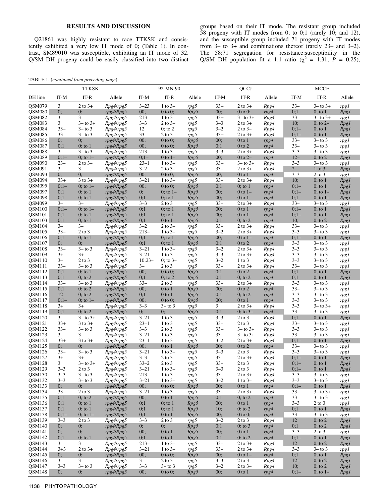# **RESULTS AND DISCUSSION**

Q21861 was highly resistant to race TTKSK and consistently exhibited a very low IT mode of 0; (Table 1). In contrast, SM89010 was susceptible, exhibiting an IT mode of 32. Q/SM DH progeny could be easily classified into two distinct

groups based on their IT mode. The resistant group included 58 progeny with IT modes from 0; to 0;1 (rarely 10; and 12), and the susceptible group included 71 progeny with IT modes from 3– to 3+ and combinations thereof (rarely 23– and 3–2). The 58:71 segregation for resistance:susceptibility in the Q/SM DH population fit a 1:1 ratio ( $\chi^2 = 1.31$ ,  $P = 0.25$ ),

|  |  | TABLE 1. (continued from preceding page) |
|--|--|------------------------------------------|
|--|--|------------------------------------------|

|                         |                    | <b>TTKSK</b>                  |                        |                      | 92-MN-90                   |              |                   | QCCJ                      |              |                   | <b>MCCF</b>               |              |
|-------------------------|--------------------|-------------------------------|------------------------|----------------------|----------------------------|--------------|-------------------|---------------------------|--------------|-------------------|---------------------------|--------------|
| DH line                 | IT-M               | IT-R                          | Allele                 | IT-M                 | $IT-R$                     | Allele       | IT-M              | $IT-R$                    | Allele       | IT-M              | $IT-R$                    | Allele       |
| <b>OSM079</b>           | 3                  | $2$ to $3+$                   | Rpg4/rpg5              | $3 - 23$             | $1$ to $3-$                | rpg5         | $33+$             | $2$ to $3+$               | Rpg4         | $33 -$            | $3 -$ to $3 +$            | rpgl         |
| QSM080                  | 0;                 | 0;                            | rpg4/Rpg5              | 00;                  | $0$ to $0$ ;               | Rpg5         | 00;               | $0$ to 0;                 | rpg4         | $0;1-$            | 0; to $1-$                | Rpg1         |
| QSM082                  | 3                  | 3                             | Rpg4/rpg5              | $213-$               | 1 to $3-$                  | rpg5         | $33+$             | $3 -$ to $3 +$            | Rpg4         | $33 -$            | $3 -$ to $3 +$            | rpg1         |
| QSM083                  | 3                  | $3 -$ to $3 +$                | Rpg4/rpg5              | $3 - 3$              | $2$ to $3-$                | rpg5         | $3 - 3$           | $2$ to $3+$               | Rpg4         | 10;               | 0; to $2-$                | Rpg1         |
| QSM084                  | $33 -$             | $3 -$ to 3                    | Rpg4/rpg5              | 12                   | $0$ ; to $2$               | rpg5         | $3 - 2$           | $2$ to $3-$               | Rpg4         | $0:1-$            | $0$ ; to $1$              | Rpg1         |
| QSM085                  | $33 -$             | $3 -$ to 3                    | Rpg4/rpg5              | $33 -$               | $2$ to $3$                 | rpg5         | $33+$             | $2$ to $3+$               | Rpg4         | $0;1-$            | $0;$ to 1                 | Rpg1         |
| QSM086                  | 0;                 | 0;                            | rpg4/Rpg5              | 00;                  | $0$ to $0$ ;               | Rpg5         | 00;               | $0$ to $1$                | rpg4         | $33-$<br>$33 -$   | $3 -$ to 3                | rpg1         |
| QSM087<br>QSM088        | 0;1<br>3           | $0;$ to $1$<br>$3 -$ to 3     | rpg4/Rpg5<br>Rpg4/rpg5 | 00;<br>$213-$        | $0$ to $0$ ;<br>1 to $3-$  | Rpg5<br>rpg5 | 0;1<br>$3 - 3$    | $0$ to $2$<br>$2$ to $3+$ | rpg4<br>Rpg4 | $3 - 3$           | $3 -$ to 3<br>$3 -$ to 3  | rpg1<br>rpg1 |
| QSM089                  | $0;1-$             | 0; to $1-$                    | rpg4/Rpg5              | $0;1-$               | $0$ to $1-$                | Rpg5         | 00;               | $0$ to $2-$               | rpg4         | $12 -$            | $0$ ; to $2$              | Rpg1         |
| OSM090                  | $23 -$             | $2$ to $3-$                   | Rpg4/rpg5              | $23 - 1$             | 1 to $3-$                  | rpg5         | $33+$             | $3 -$ to $3 +$            | Rpg4         | $3 - 3$           | $3 -$ to 3                | rpg1         |
| QSM091                  | 3                  | 3                             | Rpg4/rpg5              | $3 - 2$              | $2$ to $3-$                | rpg5         | $33 -$            | $2$ to $3+$               | Rpg4         | $\overline{2}$    | $1$ to $3$                | Rpg1         |
| QSM093                  | 0;                 | 0:                            | rpg4/Rpg5              | 00;                  | $0$ to $0$ ;               | Rpg5         | 00;               | $0$ to $1$                | rpg4         | $3 - 3$           | $2$ to $3$                | rpg1         |
| QSM094                  | $33+$              | $3$ to $3+$                   | Rpg4/rpg5              | $3 - 21$             | 1 to $3-$                  | rpg5         | $33 -$            | $2$ to $3+$               | Rpg4         | 10;               | $0;$ to 1                 | Rpg1         |
| QSM095                  | $0;1-$             | 0; to $1-$                    | rpg4/Rpg5              | 00;                  | $0$ to $0$ ;               | Rpg5         | 0;1               | $0;$ to $1$               | rpg4         | $0:1-$            | $0$ ; to $1$              | Rpg1         |
| QSM097                  | 0:1                | $0;$ to 1                     | rpg4/Rpg5              | 0;                   | 0; to $1-$                 | Rpg5         | 00;               | $0$ to $1-$               | rpg4         | $0;1-$            | 0; to $1-$                | Rpg1         |
| QSM098                  | 0:1                | $0;$ to 1<br>$3-$             | rpg4/Rpg5              | 0;1                  | $0;$ to 1                  | Rpg5         | 00;               | $0$ to $1$                | rpg4         | 0:1               | 0; to $1-$                | Rpg1         |
| QSM099<br>QSM100        | $3-$<br>$0;1-$     | 0; to $1-$                    | Rpg4/rpg5<br>rpg4/Rpg5 | $3 - 3$<br>0;1       | $2$ to $3$<br>$0;$ to 1    | rpg5<br>Rpg5 | $33 -$<br>00;     | $2$ to $3+$<br>$0$ to $1$ | Rpg4<br>rpg4 | $33 -$<br>$0:1-$  | $3 -$ to 3<br>$0;$ to $1$ | rpg1<br>Rpg1 |
| <b>QSM101</b>           | 0:1                | $0;$ to $1$                   | rpg4/Rpg5              | 0;1                  | $0;$ to 1                  | Rpg5         | 00;               | $0$ to $1$                | rpg4         | $0;1-$            | $0;$ to 1                 | Rpg1         |
| QSM103                  | 0;1                | $0;$ to 1                     | rpg4/Rpg5              | 0;1                  | $0$ to $1$                 | Rpg5         | 0;1               | $0;$ to $2$               | rpg4         | 10:               | 0; to $2-$                | Rpg1         |
| <b>OSM104</b>           | $3-$               | $3-$                          | Rpg4/rpg5              | $3 - 2$              | $2$ to $3-$                | rpg5         | $33 -$            | $2$ to $3+$               | Rpg4         | $33 -$            | $3 -$ to 3                | rpg1         |
| $\text{OSM}105$         | $33 -$             | $2$ to $3$                    | Rpg4/rpg5              | $213-$               | 1 to $3-$                  | rpg5         | $3 - 2$           | $2$ to $3+$               | Rpg4         | $3 - 3$           | $3 -$ to 3                | rpg1         |
| QSM106                  | 0:1                | $0;$ to $1$                   | rpg4/Rpg5              | 0;1                  | $0;$ to $1$                | Rpg5         | 00;               | $0$ to $1-$               | rpg4         | $0;1-$            | 0; to $1-$                | Rpg1         |
| <b>QSM107</b>           | 0;                 | 0;                            | rpg4/Rpg5              | 0;1                  | $0;$ to 1                  | Rpg5         | 0;1               | $0$ to $2$                | rpg4         | $3 - 3$           | $3 -$ to 3                | rpg1         |
| <b>QSM108</b>           | $33 -$             | $3 -$ to 3                    | Rpg4/rpg5              | $3 - 21$             | 1 to $3-$                  | rpg5         | $3 - 2$           | $2$ to $3+$               | Rpg4         | $3 - 3$           | $3 -$ to 3                | rpg1         |
| QSM109                  | $3+$               | $3+$                          | Rpg4/rpg5              | $3 - 21$             | 1 to $3-$                  | rpg5         | $3 - 3$           | $2$ to $3+$               | Rpg4         | $3 - 3$           | $3 -$ to 3                | rpg1         |
| <b>QSM110</b>           | $3-$<br>$33 -$     | $2$ to $3$                    | Rpg4/rpg5              | $10;23-$<br>$3-$     | 0; to $3-$                 | rpg5         | $3 - 2$<br>$33 -$ | $1$ to $3$                | Rpg4         | $3 - 3$<br>$33 -$ | $3 -$ to 3<br>$3 -$ to 3  | rpg1         |
| QSM111<br>QSM112        | 0:1                | $3 -$ to 3<br>$0;$ to $1$     | Rpg4/rpg5<br>rpg4/Rpg5 | 00;                  | $2$ to $3$<br>$0$ to $0$ ; | rpg5<br>Rpg5 | 0;1               | $2$ to $3+$<br>$0$ to $2$ | Rpg4<br>rpg4 | 0;1               | $0;$ to $1$               | rpg1<br>Rpg1 |
| QSM113                  | 0;1                | $0$ ; to $2$                  | rpg4/Rpg5              | 0;1                  | $0$ ; to $2$               | Rpg5         | 0;1               | $0$ ; to $2$              | rpg4         | 0;1               | $0$ ; to $1$              | Rpg1         |
| QSM114                  | $33 -$             | $3 -$ to 3                    | Rpg4/rpg5              | $33 -$               | $2$ to $3$                 | rpg5         | $33 -$            | $2$ to $3+$               | Rpg4         | $3 - 3$           | $3 -$ to 3                | rpg1         |
| QSM115                  | 0:1                | $0;$ to $2$                   | rpg4/Rpg5              | 00;                  | $0$ to $1$                 | Rpg5         | 00;               | $0$ to $2$                | rpg4         | $33 -$            | $3 -$ to 3                | rpg1         |
| QSM116                  | 12                 | $0$ ; to $2$                  | rpg4/Rpg5              | 0;1                  | $0$ to $1$                 | Rpg5         | 0;1               | $0;$ to $2$               | rpg4         | $3 - 3$           | $3 -$ to 3                | rpg1         |
| QSM117                  | $0:1-$             | 0; to $1-$                    | rpg4/Rpg5              | 00;                  | $0$ to $0$ ;               | Rpg5         | 00:               | $0$ to $1$                | rpg4         | $3 - 3$           | $3 -$ to 3                | rpg1         |
| QSM118                  | $3+$               | $3+$                          | Rpg4/rpg5              | $3 - 3$              | $3 -$ to 3                 | rpg5         | 3                 | $2$ to $3+$               | Rpg4         | $3 - 3$           | $3 -$ to $3 +$            | rpg1         |
| QSM119                  | 0:1                | $0;$ to $2$                   | rpg4/Rpg5              | 0;                   | 0;                         | Rpg5         | 0;1               | 0; to $3-$                | rpg4         | $33 -$            | $3 -$ to 3                | rpg1         |
| QSM120<br>QSM121        | 3<br>$33+$         | $3 -$ to $3 +$<br>$3$ to $3+$ | Rpg4/rpg5<br>Rpg4/rpg5 | $3 - 21$<br>$23 - 1$ | 1 to $3-$<br>$1$ to $3$    | rpg5<br>rpg5 | $3 - 3$<br>$33 -$ | $2$ to $3$<br>$2$ to $3$  | Rpg4<br>Rpg4 | 0;1<br>$33 -$     | $0;$ to $1$<br>$3 -$ to 3 | Rpg1         |
| QSM122                  | $33 -$             | $3 -$ to 3                    | Rpg4/rpg5              | $3 - 3$              | $2$ to $3$                 | rpg5         | $33+$             | $3 -$ to $3 +$            | Rpg4         | $3 - 3$           | $3 -$ to 3                | rpg1<br>rpg1 |
| QSM123                  | 3                  | 3                             | Rpg4/rpg5              | $3 - 21$             | 1 to $3-$                  | rpg5         | $33 -$            | $3 -$ to $3 +$            | Rpg4         | $33 -$            | $3 -$ to 3                | rpg1         |
| QSM124                  | $33+$              | $3$ to $3+$                   | Rpg4/rpg5              | $23 - 1$             | $1$ to $3$                 | rpg5         | $3 - 2$           | $2$ to $3+$               | Rpg4         | $0;1-$            | $0;$ to $1$               | Rpg1         |
| QSM125                  | 0;                 | 0;                            | rpg4/Rpg5              | 00;                  | $0$ to $1$                 | Rpg5         | 00;               | $0$ to $2$                | rpg4         | $33 -$            | $3 -$ to 3                | rpg1         |
| QSM126                  | $33 -$             | $3 -$ to 3                    | Rpg4/rpg5              | $3 - 21$             | 1 to $3-$                  | rpg5         | $3 - 3$           | $2$ to $3$                | Rpg4         | $3 - 3$           | $3 -$ to 3                | rpg1         |
| QSM127                  | $3+$               | $3+$                          | Rpg4/rpg5              | $3 - 3$              | $2$ to $3$                 | rpg5         | $33 -$            | $2$ to $3+$               | Rpg4         | $0:1-$            | 0: to $1-$                | Rpg1         |
| QSM128                  | 3                  | $3 -$ to $3 +$                | Rpg4/rpg5              | $33 - 2$             | $2$ to $3$                 | rpg5         | $33 -$            | $2$ to $3$                | Rpg4         | $0:1-$            | $0$ ; to $1$              | Rpg1         |
| QSM129<br>QSM130        | $3 - 3$<br>$3 - 3$ | 2 to 3<br>$3-$ to 3           | Rpg4/rpg5<br>Rpg4/rpg5 | $3 - 21$<br>$213-$   | $1$ to $3-$<br>$1$ to $3-$ | rpg5         | $3 - 3$<br>$33 -$ | $2$ to $3$<br>$2$ to $3+$ | Rpg4<br>Rpg4 | $0;1-$<br>$3 - 3$ | $0;$ to 1<br>$3 -$ to 3   | Rpg1<br>rpg1 |
| QSM132                  | $3 - 3$            | $3 -$ to 3                    | Rpg4/rpg5              | $3 - 21$             | 1 to $3-$                  | rpg5<br>rpg5 | $3 - 2$           | $1$ to $3-$               | Rpg4         | $3 - 3$           | $3 -$ to 3                | rpg1         |
| QSM133                  | 0;                 | 0;                            | rpg4/Rpg5              | 00;                  | $0$ to $0$ ;               | Rpg5         | 00;               | $0$ to $1$                | rpg4         | $0;1-$            | $0;$ to 1                 | Rpg1         |
| QSM134                  | $33 -$             | $2$ to $3$                    | Rpg4/rpg5              | $3 - 21$             | 1 to $3-$                  | rpg5         | $33 -$            | $2$ to $3+$               | Rpg4         | $33 -$            | $3 -$ to $3 +$            | rpg1         |
| QSM135                  | 0;1                | 0; to $2-$                    | rpg4/Rpg5              | 00;                  | $0$ to $1-$                | Rpg5         | 0;1               | $0;$ to $2$               | rpg4         | $33 -$            | $3 -$ to 3                | rpg1         |
| QSM136                  | 0;1                | $0;$ to $1$                   | rpg4/Rpg5              | 0;1                  | $0;$ to $1$                | Rpg5         | 00;               | $0$ to $1$                | rpg4         | $3 - 3$           | $2$ to $3$                | rpg1         |
| QSM137                  | 0;1                | $0;$ to 1                     | rpg4/Rpg5              | 0;1                  | $0;$ to 1                  | Rpg5         | 10;               | $0;$ to $2$               | rpg4         | 0;1               | $0;$ to 1                 | Rpg1         |
| QSM138                  | $0;1-$             | 0; to $1-$                    | rpg4/Rpg5              | 0;1                  | $0$ to $1$                 | Rpg5         | 00;               | $0$ to $0$ ;              | rpg4         | $33 -$            | $3 -$ to 3                | rpg1         |
| QSM139                  | $3 - 3$            | $2$ to $3$                    | Rpg4/rpg5              | $3 - 3$              | $2$ to $3$                 | rpg5         | $3 - 2$           | $2$ to $3$                | Rpg4         | 12                | $0;$ to $2$               | Rpg1         |
| QSM140<br><b>QSM141</b> | 0;                 | 0;                            | rpg4/Rpg5<br>rpg4/Rpg5 | 0;                   | 0;<br>$0$ to $1$           | Rpg5         | 0;1<br>00;        | $0;$ to $3$<br>$0$ to $1$ | rpg4         | 0;1<br>$3 - 3$    | $0;$ to $2$<br>$2$ to $3$ | Rpg1         |
| QSM142                  | 0;<br>0;1          | 0;<br>$0;$ to 1               | rpg4/Rpg5              | 00;<br>0;1           | $0$ to $1$                 | Rpg5<br>Rpg5 | 0;1               | $0;$ to $2$               | rpg4<br>rpg4 | $0;1-$            | 0; to $1-$                | rpg1<br>Rpg1 |
| QSM143                  | 3                  | 3                             | Rpg4/rpg5              | $213-$               | $1$ to $3-$                | rpg5         | $33 -$            | $2$ to $3+$               | Rpg4         | 12                | $0;$ to $2$               | Rpg1         |
| <b>QSM144</b>           | $3 + 3$            | $2$ to $3+$                   | Rpg4/rpg5              | $3 - 21$             | 1 to $3-$                  | rpg5         | $33 -$            | $2$ to $3+$               | Rpg4         | $3 - 3$           | $3 -$ to 3                | rpg1         |
| $\overline{QSM}145$     | 0;                 | 0;                            | rpg4/Rpg5              | 00;                  | $0$ to 0;                  | Rpg5         | 00;               | $0$ to $1-$               | rpg4         | 0;1               | $0;$ to $1$               | Rpg1         |
| QSM146                  | $3-$               | $3 -$                         | Rpg4/rpg5              | $3-$                 | $2$ to $3$                 | rpg5         | $3 - 3$           | 2 to 3                    | Rpg4         | $12-$             | 0; to $2-$                | Rpg1         |
| QSM147                  | $3 - 3$            | $3-$ to 3                     | Rpg4/rpg5              | $3 - 3$              | $3 -$ to 3                 | rpg5         | $3 - 2$           | $2$ to $3-$               | Rpg4         | 10;               | $0;$ to $2$               | Rpg1         |
| QSM148                  | 0;                 | 0;                            | rpg4/Rpg5              | 00;                  | $0$ to $0$ ;               | Rpg5         | 00;               | $0$ to $1$                | rpg4         | $0;1-$            | 0; to $1-$                | Rpg1         |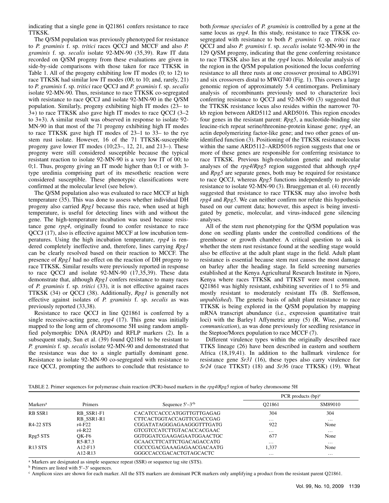indicating that a single gene in Q21861 confers resistance to race TTKSK.

The Q/SM population was previously phenotyped for resistance to *P. graminis* f. sp. *tritici* races QCCJ and MCCF and also *P. graminis* f. sp. *secalis* isolate 92-MN-90 (35,39). Raw IT data recorded on Q/SM progeny from these evaluations are given in side-by-side comparisons with those taken for race TTKSK in Table 1. All of the progeny exhibiting low IT modes (0; to 12) to race TTKSK had similar low IT modes (00; to 10; and, rarely, 21) to *P. graminis* f. sp. *tritici* race QCCJ and *P. graminis* f. sp. *secalis* isolate 92-MN-90. Thus, resistance to race TTKSK co-segregated with resistance to race QCCJ and isolate 92-MN-90 in the Q/SM population. Similarly, progeny exhibiting high IT modes (23– to 3+) to race TTKSK also gave high IT modes to race QCCJ (3–2 to 3+3). A similar result was observed in response to isolate 92- MN-90 in that most of the 71 progeny exhibiting high IT modes to race TTKSK gave high IT modes of 23–1 to 33– to the rye stem rust isolate. However, 16 of the 71 TTKSK-susceptible progeny gave lower IT modes (10;23–, 12, 21, and 213–). These progeny were still considered susceptible because the typical resistant reaction to isolate 92-MN-90 is a very low IT of 00; to 0;1. Thus, progeny giving an IT mode higher than 0;1 or with 3 type uredinia comprising part of its mesothetic reaction were considered susceptible. These phenotypic classifications were confirmed at the molecular level (see below).

The Q/SM population also was evaluated to race MCCF at high temperature (35). This was done to assess whether individual DH progeny also carried *Rpg1* because this race, when used at high temperature, is useful for detecting lines with and without the gene. The high-temperature incubation was used because resistance gene *rpg4*, originally found to confer resistance to race QCCJ (17), also is effective against MCCF at low incubation temperatures. Using the high incubation temperature, *rpg4* is rendered completely ineffective and, therefore, lines carrying *Rpg1* can be clearly resolved based on their reaction to MCCF. The presence of *Rpg1* had no effect on the reaction of DH progeny to race TTKSK. Similar results were previously reported in response to race QCCJ and isolate 92-MN-90 (17,35,39). These data demonstrate that, although *Rpg1* confers resistance to many races of *P. graminis* f. sp. *tritici* (33), it is not effective against races TTKSK (34) or QCCJ (38). Additionally, *Rpg1* is generally not effective against isolates of *P. graminis* f. sp. *secalis* as was previously reported (33,38).

Resistance to race QCCJ in line Q21861 is conferred by a single recessive-acting gene, *rpg4* (17). This gene was initially mapped to the long arm of chromosome 5H using random amplified polymorphic DNA (RAPD) and RFLP markers (2). In a subsequent study, Sun et al. (39) found Q21861 to be resistant to *P. graminis* f. sp. *secalis* isolate 92-MN-90 and demonstrated that the resistance was due to a single partially dominant gene. Resistance to isolate 92-MN-90 co-segregated with resistance to race QCCJ, prompting the authors to conclude that resistance to

both *formae speciales* of *P. graminis* is controlled by a gene at the same locus as *rpg4*. In this study, resistance to race TTKSK cosegregated with resistance to both *P. graminis* f. sp. *tritici* race QCCJ and also *P. graminis* f. sp. *secalis* isolate 92-MN-90 in the 129 Q/SM progeny, indicating that the gene conferring resistance to race TTKSK also lies at the *rpg4* locus. Molecular analysis of the region in the Q/SM population positioned the locus conferring resistance to all three rusts at one crossover proximal to ABG391 and six crossovers distal to MWG740 (Fig. 1). This covers a large genomic region of approximately 5.4 centimorgans. Preliminary analysis of recombinants previously used to characterize loci conferring resistance to QCCJ and 92-MN-90 (3) suggested that the TTKSK resistance locus also resides within the narrower 70 kb region between ARD5112 and ARD5016. This region encodes four genes in the resistant parent: *Rpg5*, a nucleotide-binding site leucine-rich repeat serine/threonine-protein kinase gene; *rpg4*, an actin depolymerizing factor-like gene; and two other genes of unidentified function (3). Positioning of the TTKSK resistance locus within the same ARD5112–ARD5016 region suggests that one or more of these genes are responsible for conferring resistance to race TTKSK. Previous high-resolution genetic and molecular analyses of the *rpg4*/*Rpg5* region suggested that although *rpg4* and *Rpg5* are separate genes, both may be required for resistance to race QCCJ, whereas *Rpg5* functions independently to provide resistance to isolate 92-MN-90 (3). Brueggeman et al. (4) recently suggested that resistance to race TTKSK may also involve both *rpg4* and *Rpg5*. We can neither confirm nor refute this hypothesis based on our current data; however, this aspect is being investigated by genetic, molecular, and virus-induced gene silencing analyses.

All of the stem rust phenotyping for the Q/SM population was done on seedling plants under the controlled conditions of the greenhouse or growth chamber. A critical question to ask is whether the stem rust resistance found at the seedling stage would also be effective at the adult plant stage in the field. Adult plant resistance is essential because stem rust causes the most damage on barley after the heading stage. In field screening nurseries established at the Kenya Agricultural Research Institute in Njoro, Kenya where races TTKSK and TTKST were most common, Q21861 was highly resistant, exhibiting severities of 1 to 5% and mostly resistant to moderately resistant ITs (B. Steffenson, *unpublished*). The genetic basis of adult plant resistance to race TTKSK is being explored in the Q/SM population by mapping mRNA transcript abundance (i.e., expression quantitative trait loci) with the Barley1 Affymetric array (5) (R. Wise, *personal communication*), as was done previously for seedling resistance in the Steptoe/Morex population to race MCCF (7).

Different virulence types within the originally described race TTKS lineage (26) have been described in eastern and southern Africa (18,19,41). In addition to the hallmark virulence for resistance gene *Sr31* (16), these types also carry virulence for *Sr24* (race TTKST) (18) and *Sr36* (race TTKSK) (19). Wheat

|  |  | TABLE 2. Primer sequences for polymerase chain reaction (PCR)-based markers in the rpg4/Rpg5 region of barley chromosome 5H |
|--|--|-----------------------------------------------------------------------------------------------------------------------------|
|  |  |                                                                                                                             |

|                      |                   |                                   | PCR products $(bp)^c$ |          |  |  |
|----------------------|-------------------|-----------------------------------|-----------------------|----------|--|--|
| Markers <sup>a</sup> | <b>Primers</b>    | Sequence $5'$ – $3'$ <sup>b</sup> | O <sub>2</sub> 1861   | SM89010  |  |  |
| <b>RB SSR1</b>       | RB SSR1-F1        | CACATCCACCCATGGTTGTTGAGAG         | 304                   | 304      |  |  |
|                      | RB SSR1-R1        | CTTCACTGGTACCAGTTCGACCGAG         | $\cdots$              | $\cdots$ |  |  |
| <b>R4-22 STS</b>     | r4-F22            | CGGATATAGGGAGAAGGGTTTGATG         | 922                   | None     |  |  |
|                      | $r4-R22$          | GTCGTCCATCTTGTACACCACGAAC         | $\cdot$               | $\cdots$ |  |  |
| Rpg5 STS             | OK-F <sub>6</sub> | GGTGGATCGAAGAGAATGGAACTGC         | 677                   | None     |  |  |
|                      | R5-R7.3           | GCAACCTTCATTCTGACAGACCATG         | $\cdots$              | $\cdots$ |  |  |
| R <sub>13</sub> STS  | $A12-F13$         | CGCCCGACGAAAGAGAACGACAATG         | 1,337                 | None     |  |  |
|                      | $A12-R13$         | GGGCCACCGACACTGTAGCACTC           | $\cdots$              | $\cdots$ |  |  |

<sup>a</sup> Markers are designated as simple sequence repeat (SSR) or sequence tag site (STS).<br><sup>b</sup> Primers are listed with 5'–3' sequences.<br><sup>c</sup> Amplicon sizes are shown for each marker. All the STS markers are dominant PCR markers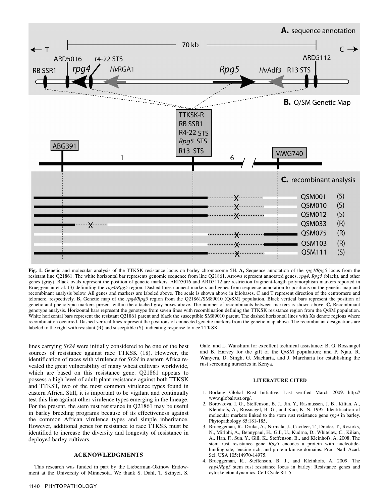

**Fig. 1.** Genetic and molecular analysis of the TTKSK resistance locus on barley chromosome 5H. **A,** Sequence annotation of the *rpg4/Rpg5* locus from the resistant line Q21861. The white horizontal bar represents genomic sequence from line Q21861. Arrows represent annotated genes, *rpg4*, *Rpg5* (black), and other genes (gray). Black ovals represent the position of genetic markers. ARD5016 and ARD5112 are restriction fragment-length polymorphism markers reported in Brueggeman et al. (3) delimiting the *rpg4/Rpg5* region. Dashed lines connect markers and genes from sequence annotation to positions on the genetic map and recombinant analysis below. All genes and markers are labeled above. The scale is shown above in kilobases. C and T represent direction of the centromere and telomere, respectively. **B,** Genetic map of the *rpg4/Rpg5* region from the Q21861/SM89010 (Q/SM) population. Black vertical bars represent the position of genetic and phenotypic markers present within the attached gray boxes above. The number of recombinants between markers is shown above. **C,** Recombinant genotype analysis. Horizontal bars represent the genotype from seven lines with recombination defining the TTKSK resistance region from the Q/SM population. White horizontal bars represent the resistant Q21861 parent and black the susceptible SM89010 parent. The dashed horizontal lines with Xs denote regions where recombination occurred. Dashed vertical lines represent the positions of connected genetic markers from the genetic map above. The recombinant designations are labeled to the right with resistant (R) and susceptible (S), indicating response to race TTKSK.

lines carrying *Sr24* were initially considered to be one of the best sources of resistance against race TTKSK (18). However, the identification of races with virulence for *Sr24* in eastern Africa revealed the great vulnerability of many wheat cultivars worldwide, which are based on this resistance gene. Q21861 appears to possess a high level of adult plant resistance against both TTKSK and TTKST, two of the most common virulence types found in eastern Africa. Still, it is important to be vigilant and continually test this line against other virulence types emerging in the lineage. For the present, the stem rust resistance in Q21861 may be useful in barley breeding programs because of its effectiveness against the common African virulence types and simple inheritance. However, additional genes for resistance to race TTKSK must be identified to increase the diversity and longevity of resistance in deployed barley cultivars.

## **ACKNOWLEDGMENTS**

This research was funded in part by the Lieberman-Okinow Endowment at the University of Minnesota. We thank S. Dahl, T. Szinyei, S. Gale, and L. Wanshura for excellent technical assistance; B. G. Rossnagel and B. Harvey for the gift of the Q/SM population; and P. Njau, R. Wanyera, D. Singh, G. Macharia, and J. Marcharia for establishing the rust screening nurseries in Kenya.

### **LITERATURE CITED**

- 1. Borlaug Global Rust Initiative. Last verified March 2009. http:// www.globalrust.org/.
- 2. Borovkova, I. G., Steffenson, B. J., Jin, Y., Rasmussen, J. B., Kilian, A., Kleinhofs, A., Rossnagel, B. G., and Kao, K. N. 1995. Identification of molecular markers linked to the stem rust resistance gene *rpg4* in barley. Phytopathology 85:181-185.
- 3. Brueggeman, R., Druka, A., Nirmala, J., Cavileer, T., Drader, T., Rostoks, N., Mirlohi, A., Bennypaul, H., Gill, U., Kudrna, D., Whitelaw, C., Kilian, A., Han, F., Sun, Y., Gill, K., Steffenson, B., and Kleinhofs, A. 2008. The stem rust resistance gene *Rpg5* encodes a protein with nucleotidebinding-site, leucine-rich, and protein kinase domains. Proc. Natl. Acad. Sci. USA 105:14970-14975.
- 4. Brueggeman, R., Steffenson, B. J., and Kleinhofs, A. 2009. The *rpg4*/*Rpg5* stem rust resistance locus in barley: Resistance genes and cytoskeleton dynamics. Cell Cycle 8:1-5.